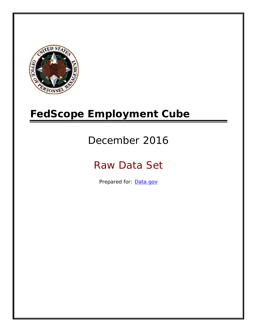

# **FedScope Employment Cube**

# December 2016

# Raw Data Set

Prepared for: [Data.gov](http://www.data.gov/)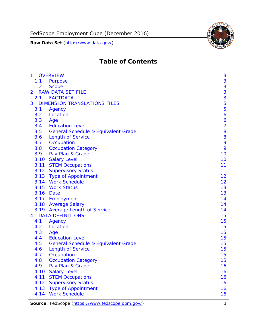

# **Table of Contents**

| $\mathbf{1}$   | <b>OVERVIEW</b>                                | 3              |
|----------------|------------------------------------------------|----------------|
| 1.1            | Purpose                                        | 3              |
| 1.2            | <b>Scope</b>                                   | 3              |
| $\overline{2}$ | <b>RAW DATA SET FILE</b>                       | 3              |
| 2.1            | <b>FACTDATA</b>                                | 3              |
| 3              | <b>DIMENSION TRANSLATIONS FILES</b>            | 5              |
| 3.1            | Agency                                         | 5              |
| 3.2            | Location                                       | 6              |
| 3.3            | Age                                            | 6              |
| 3.4            | <b>Education Level</b>                         | $\overline{7}$ |
| 3.5            | <b>General Schedule &amp; Equivalent Grade</b> | 8              |
| 3.6            | <b>Length of Service</b>                       | 8              |
| 3.7            | Occupation                                     | 9              |
| 3.8            | <b>Occupation Category</b>                     | 9              |
| 3.9            | Pay Plan & Grade                               | 10             |
| 3.10           | <b>Salary Level</b>                            | 10             |
| 3.11           | <b>STEM Occupations</b>                        | 11             |
|                | 3.12 Supervisory Status                        | 11             |
|                | 3.13 Type of Appointment                       | 12             |
|                | 3.14 Work Schedule                             | 12             |
| 3.15           | <b>Work Status</b>                             | 13             |
| 3.16           | Date                                           | 13             |
|                | 3.17 Employment                                | 14             |
|                | 3.18 Average Salary                            | 14             |
|                | 3.19 Average Length of Service                 | 14             |
| 4              | <b>DATA DEFINITIONS</b>                        | 15             |
| 4.1            | Agency                                         | 15             |
| 4.2            | Location                                       | 15             |
| 4.3            | Age                                            | 15             |
| 4.4            | <b>Education Level</b>                         | 15             |
| 4.5            | <b>General Schedule &amp; Equivalent Grade</b> | 15             |
| 4.6            | <b>Length of Service</b>                       | 15             |
| 4.7            | Occupation                                     | 15             |
| 4.8            | <b>Occupation Category</b>                     | 15             |
| 4.9            | Pay Plan & Grade                               | 16             |
| 4.10           | <b>Salary Level</b>                            | 16             |
| 4.11           | <b>STEM Occupations</b>                        | 16             |
| 4.12           | <b>Supervisory Status</b>                      | 16             |
| 4.13           | <b>Type of Appointment</b>                     | 16             |
| 4.14           | <b>Work Schedule</b>                           | 16             |

Source: FedScope (https://www.fedscope.opm.gov/) 1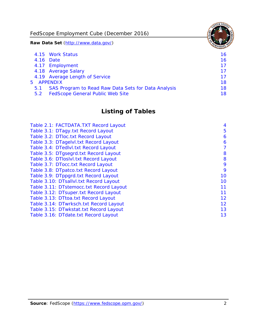FedScope Employment Cube (December 2016)

**Raw Data Set** (http://www.data.gov/)

|               | 4.15 Work Status                                    | 16 |
|---------------|-----------------------------------------------------|----|
|               | 4.16 Date                                           | 16 |
|               | 4.17 Employment                                     | 17 |
|               | 4.18 Average Salary                                 | 17 |
|               | 4.19 Average Length of Service                      | 17 |
|               | 5 APPENDIX                                          | 18 |
| 5.1           | SAS Program to Read Raw Data Sets for Data Analysis | 18 |
| $5.2^{\circ}$ | <b>FedScope General Public Web Site</b>             | 18 |

# **Listing of Tables**

| Table 2.1: FACTDATA.TXT Record Layout   | 4  |
|-----------------------------------------|----|
| Table 3.1: DTagy.txt Record Layout      | 5  |
| Table 3.2: DTloc.txt Record Layout      | 6  |
| Table 3.3: DTagelvl.txt Record Layout   | 6  |
| Table 3.4: DTedlvl.txt Record Layout    | 7  |
| Table 3.5: DTgsegrd.txt Record Layout   | 8  |
| Table 3.6: DTIoslvI.txt Record Layout   | 8  |
| Table 3.7: DTocc.txt Record Layout      | 9  |
| Table 3.8: DTpatco.txt Record Layout    | 9  |
| Table 3.9: DTppgrd.txt Record Layout    | 10 |
| Table 3.10: DTsallvl.txt Record Layout  | 10 |
| Table 3.11: DTstemocc.txt Record Layout | 11 |
| Table 3.12: DTsuper.txt Record Layout   | 11 |
| Table 3.13: DTtoa.txt Record Layout     | 12 |
| Table 3.14: DTwrksch.txt Record Layout  | 12 |
| Table 3.15: DTwkstat.txt Record Layout  | 13 |
| Table 3.16: DTdate.txt Record Layout    | 13 |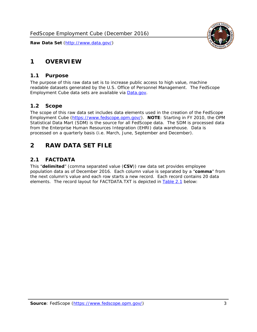# <span id="page-3-0"></span>**1 OVERVIEW**

## *1.1 Purpose*

<span id="page-3-1"></span>The purpose of this raw data set is to increase public access to high value, machine readable datasets generated by the U.S. Office of Personnel Management. The FedScope Employment Cube data sets are available via [Data.gov](http://www.data.gov/).

# <span id="page-3-2"></span>*1.2 Scope*

The scope of this raw data set includes data elements used in the creation of the FedScope Employment Cube [\(https://www.fedscope.opm.gov/\)](https://www.fedscope.opm.gov/). **NOTE**: Starting in FY 2010, the OPM Statistical Data Mart (SDM) is the source for all FedScope data. The SDM is processed data from the Enterprise Human Resources Integration (EHRI) data warehouse. Data is processed on a quarterly basis (i.e. March, June, September and December).

# <span id="page-3-3"></span>**2 RAW DATA SET FILE**

# <span id="page-3-4"></span>*2.1 FACTDATA*

This "**delimited**" (comma separated value (**CSV**)) raw data set provides employee population data as of December 2016. Each column value is separated by a "**comma**" from the next column's value and each row starts a new record. Each record contains 20 data elements. The record layout for FACTDATA.TXT is depicted in [Table 2.1](#page-4-1) below:

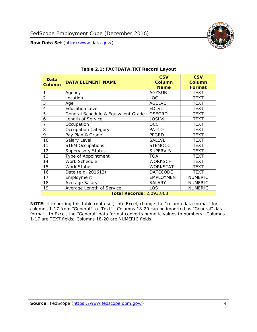

<span id="page-4-1"></span><span id="page-4-0"></span>

| Data<br><b>Column</b> | <b>DATA ELEMENT NAME</b>            | <b>CSV</b><br><b>Column</b><br><b>Name</b> | <b>CSV</b><br><b>Column</b><br><b>Format</b> |
|-----------------------|-------------------------------------|--------------------------------------------|----------------------------------------------|
| 1                     | Agency                              | <b>AGYSUB</b>                              | <b>TEXT</b>                                  |
| $\overline{2}$        | Location                            | <b>LOC</b>                                 | <b>TEXT</b>                                  |
| 3                     | Age                                 | <b>AGELVL</b>                              | <b>TEXT</b>                                  |
| 4                     | <b>Education Level</b>              | <b>EDLVL</b>                               | <b>TEXT</b>                                  |
| 5                     | General Schedule & Equivalent Grade | <b>GSEGRD</b>                              | <b>TEXT</b>                                  |
| 6                     | Length of Service                   | <b>LOSLVL</b>                              | <b>TEXT</b>                                  |
| 7                     | Occupation                          | <b>OCC</b>                                 | <b>TEXT</b>                                  |
| 8                     | Occupation Category                 | <b>PATCO</b>                               | <b>TEXT</b>                                  |
| 9                     | Pay Plan & Grade                    | <b>PPGRD</b>                               | <b>TEXT</b>                                  |
| 10                    | Salary Level                        | <b>SALLVL</b>                              | <b>TEXT</b>                                  |
| 11                    | <b>STEM Occupations</b>             | <b>STEMOCC</b>                             | <b>TEXT</b>                                  |
| 12                    | <b>Supervisory Status</b>           | <b>SUPERVIS</b>                            | <b>TEXT</b>                                  |
| 13                    | Type of Appointment                 | <b>TOA</b>                                 | <b>TEXT</b>                                  |
| 14                    | Work Schedule                       | <b>WORKSCH</b>                             | <b>TEXT</b>                                  |
| 15                    | <b>Work Status</b>                  | <b>WORKSTAT</b>                            | <b>TEXT</b>                                  |
| 16                    | Date (e.g. 201612)                  | <b>DATECODE</b>                            | <b>TEXT</b>                                  |
| 17                    | Employment                          | <b>EMPLOYMENT</b>                          | <b>NUMERIC</b>                               |
| 18                    | Average Salary                      | <b>SALARY</b>                              | <b>NUMERIC</b>                               |
| 19                    | Average Length of Service           | <b>LOS</b>                                 | <b>NUMERIC</b>                               |
|                       | <b>Total Records: 2,093,868</b>     |                                            |                                              |

#### **Table 2.1: FACTDATA.TXT Record Layout**

**NOTE**: If importing this table (data set) into Excel, change the "column data format" for columns 1-17 from "General" to "Text". Columns 18-20 can be imported as "General" data format. In Excel, the "General" data format converts numeric values to numbers. Columns 1-17 are TEXT fields; Columns 18-20 are NUMERIC fields.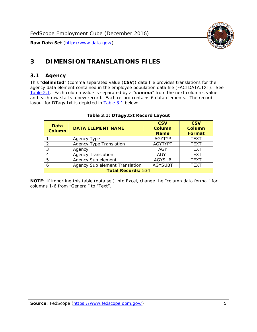

# <span id="page-5-0"></span>**3 DIMENSION TRANSLATIONS FILES**

#### <span id="page-5-1"></span>*3.1 Agency*

<span id="page-5-3"></span><span id="page-5-2"></span>This "**delimited**" (comma separated value (**CSV**)) data file provides translations for the agency data element contained in the employee population data file (FACTDATA.TXT). See [Table 2.1.](#page-4-1) Each column value is separated by a "**comma**" from the next column's value and each row starts a new record. Each record contains 6 data elements. The record layout for DTagy.txt is depicted in [Table 3.1](#page-5-3) below:

| Data<br><b>Column</b>     | <b>DATA ELEMENT NAME</b>       | <b>CSV</b><br><b>Column</b><br><b>Name</b> | <b>CSV</b><br>Column<br><b>Format</b> |
|---------------------------|--------------------------------|--------------------------------------------|---------------------------------------|
|                           | Agency Type                    | <b>AGYTYP</b>                              | <b>TEXT</b>                           |
| 2                         | <b>Agency Type Translation</b> | <b>AGYTYPT</b>                             | <b>TEXT</b>                           |
| 3                         | Agency                         | AGY                                        | <b>TEXT</b>                           |
|                           | <b>Agency Translation</b>      | <b>AGYT</b>                                | <b>TEXT</b>                           |
| -5                        | Agency Sub element             | <b>AGYSUB</b>                              | <b>TEXT</b>                           |
|                           | Agency Sub element Translation | <b>AGYSUBT</b>                             | <b>TEXT</b>                           |
| <b>Total Records: 534</b> |                                |                                            |                                       |

#### **Table 3.1: DTagy.txt Record Layout**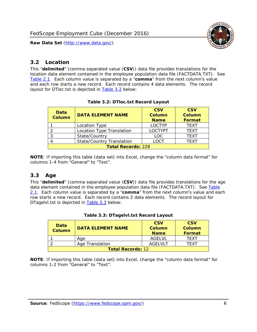

## <span id="page-6-0"></span>*3.2 Location*

<span id="page-6-4"></span><span id="page-6-2"></span>This "**delimited**" (comma separated value (**CSV**)) data file provides translations for the location data element contained in the employee population data file (FACTDATA.TXT). See [Table 2.1.](#page-4-1) Each column value is separated by a "**comma**" from the next column's value and each row starts a new record. Each record contains 4 data elements. The record layout for DTloc.txt is depicted in [Table 3.2](#page-6-4) below:

| Data<br><b>Column</b>     | <b>DATA ELEMENT NAME</b>         | <b>CSV</b><br>Column<br><b>Name</b> | <b>CSV</b><br><b>Column</b><br><b>Format</b> |
|---------------------------|----------------------------------|-------------------------------------|----------------------------------------------|
|                           | Location Type                    | <b>LOCTYP</b>                       | <b>TEXT</b>                                  |
|                           | Location Type Translation        | <b>LOCTYPT</b>                      | <b>TFXT</b>                                  |
| ົ                         | State/Country                    | LOC.                                | <b>TEXT</b>                                  |
|                           | <b>State/Country Translation</b> | LOCT                                | <b>TFXT</b>                                  |
| <b>Total Records: 228</b> |                                  |                                     |                                              |

#### **Table 3.2: DTloc.txt Record Layout**

**NOTE**: If importing this table (data set) into Excel, change the "column data format" for columns 1-4 from "General" to "Text".

#### <span id="page-6-1"></span>*3.3 Age*

<span id="page-6-5"></span><span id="page-6-3"></span>This "**delimited**" (comma separated value (**CSV**)) data file provides translations for the age data element contained in the employee population data file (FACTDATA.TXT). See [Table](#page-4-1) [2.1](#page-4-1). Each column value is separated by a "**comma**" from the next column's value and each row starts a new record. Each record contains 2 data elements. The record layout for DTagelvl.txt is depicted in **[Table 3.3](#page-6-5)** below:

| Data<br>Column           | <b>DATA ELEMENT NAME</b> | <b>CSV</b><br>Column<br><b>Name</b> | <b>CSV</b><br>Column<br>Format |
|--------------------------|--------------------------|-------------------------------------|--------------------------------|
|                          | Aae                      | AGFI VI                             | TFXT                           |
|                          | Age Translation          | AGFI VI T                           | TFXT                           |
| <b>Total Records: 12</b> |                          |                                     |                                |

#### **Table 3.3: DTagelvl.txt Record Layout**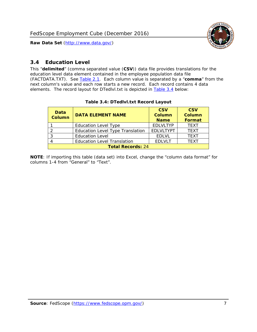

# <span id="page-7-0"></span>*3.4 Education Level*

<span id="page-7-2"></span><span id="page-7-1"></span>This "**delimited**" (comma separated value (**CSV**)) data file provides translations for the education level data element contained in the employee population data file (FACTDATA.TXT). See [Table 2.1](#page-4-1). Each column value is separated by a "**comma**" from the next column's value and each row starts a new record. Each record contains 4 data elements. The record layout for DTedlvl.txt is depicted in [Table 3.4](#page-7-2) below:

| Data<br><b>Column</b>    | <b>DATA ELEMENT NAME</b>                | <b>CSV</b><br><b>Column</b><br><b>Name</b> | <b>CSV</b><br><b>Column</b><br><b>Format</b> |
|--------------------------|-----------------------------------------|--------------------------------------------|----------------------------------------------|
|                          | <b>Education Level Type</b>             | <b>EDLVLTYP</b>                            | <b>TEXT</b>                                  |
|                          | <b>Education Level Type Translation</b> | <b>EDLVLTYPT</b>                           | <b>TEXT</b>                                  |
|                          | <b>Education Level</b>                  | <b>EDLVL</b>                               | <b>TEXT</b>                                  |
|                          | <b>Education Level Translation</b>      | <b>EDLVLT</b>                              | <b>TEXT</b>                                  |
| <b>Total Records: 24</b> |                                         |                                            |                                              |

#### **Table 3.4: DTedlvl.txt Record Layout**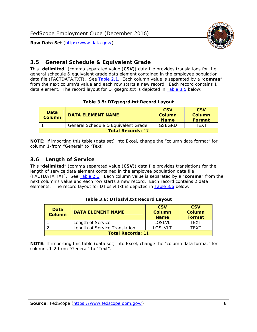<span id="page-8-0"></span>

This "**delimited**" (comma separated value (**CSV**)) data file provides translations for the general schedule & equivalent grade data element contained in the employee population data file (FACTDATA.TXT). See [Table 2.1](#page-4-1). Each column value is separated by a "**comma**" from the next column's value and each row starts a new record. Each record contains 1 data element. The record layout for DTgsegrd.txt is depicted in [Table 3.5](#page-8-4) below:

#### **Table 3.5: DTgsegrd.txt Record Layout**

<span id="page-8-4"></span><span id="page-8-2"></span>

| Data<br>Column           | <b>DATA ELEMENT NAME</b>            | <b>CSV</b><br>Column<br><b>Name</b> | <b>CSV</b><br>Column<br>Format |
|--------------------------|-------------------------------------|-------------------------------------|--------------------------------|
|                          | General Schedule & Equivalent Grade | GSEGRD                              | TFXT                           |
| <b>Total Records: 17</b> |                                     |                                     |                                |

**NOTE**: If importing this table (data set) into Excel, change the "column data format" for column 1-from "General" to "Text".

## <span id="page-8-1"></span>*3.6 Length of Service*

<span id="page-8-5"></span>This "**delimited**" (comma separated value (**CSV**)) data file provides translations for the length of service data element contained in the employee population data file (FACTDATA.TXT). See [Table 2.1](#page-4-1). Each column value is separated by a "**comma**" from the next column's value and each row starts a new record. Each record contains 2 data elements. The record layout for DTloslvl.txt is depicted in [Table 3.6](#page-8-5) below:

<span id="page-8-3"></span>

| Data<br><b>Column</b>    | <b>DATA ELEMENT NAME</b>      | <b>CSV</b><br><b>Column</b><br><b>Name</b> | <b>CSV</b><br>Column<br>Format |
|--------------------------|-------------------------------|--------------------------------------------|--------------------------------|
|                          | Length of Service             | LOSLVL                                     | TFXT                           |
|                          | Length of Service Translation | LOSI VLT                                   | TFXT                           |
| <b>Total Records: 11</b> |                               |                                            |                                |

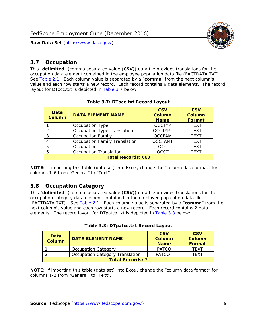

## <span id="page-9-0"></span>*3.7 Occupation*

<span id="page-9-4"></span>This "**delimited**" (comma separated value (**CSV**)) data file provides translations for the occupation data element contained in the employee population data file (FACTDATA.TXT). See [Table 2.1](#page-4-1). Each column value is separated by a "**comma**" from the next column's value and each row starts a new record. Each record contains 6 data elements. The record layout for DTocc.txt is depicted in [Table 3.7](#page-9-4) below:

<span id="page-9-2"></span>

| Data<br><b>Column</b>     | <b>DATA ELEMENT NAME</b>             | <b>CSV</b><br>Column<br><b>Name</b> | <b>CSV</b><br>Column<br><b>Format</b> |
|---------------------------|--------------------------------------|-------------------------------------|---------------------------------------|
|                           | Occupation Type                      | <b>OCCTYP</b>                       | <b>TEXT</b>                           |
|                           | Occupation Type Translation          | <b>OCCTYPT</b>                      | <b>TEXT</b>                           |
| ર                         | <b>Occupation Family</b>             | <b>OCCFAM</b>                       | <b>TEXT</b>                           |
|                           | <b>Occupation Family Translation</b> | <b>OCCFAMT</b>                      | <b>TEXT</b>                           |
| 5                         | Occupation                           | <b>OCC</b>                          | <b>TEXT</b>                           |
|                           | <b>Occupation Translation</b>        | <b>OCCT</b>                         | <b>TEXT</b>                           |
| <b>Total Records: 683</b> |                                      |                                     |                                       |

#### **Table 3.7: DTocc.txt Record Layout**

**NOTE**: If importing this table (data set) into Excel, change the "column data format" for columns 1-6 from "General" to "Text".

#### <span id="page-9-1"></span>*3.8 Occupation Category*

<span id="page-9-5"></span>This "**delimited**" (comma separated value (**CSV**)) data file provides translations for the occupation category data element contained in the employee population data file (FACTDATA.TXT). See [Table 2.1](#page-4-1). Each column value is separated by a "**comma**" from the next column's value and each row starts a new record. Each record contains 2 data elements. The record layout for DTpatco.txt is depicted in [Table 3.8](#page-9-5) below:

<span id="page-9-3"></span>

| Data<br><b>Column</b>           | <b>DATA ELEMENT NAME</b>   |               | <b>CSV</b><br>Column<br>Format |  |
|---------------------------------|----------------------------|---------------|--------------------------------|--|
|                                 | <b>Occupation Category</b> | <b>PATCO</b>  | TFXT                           |  |
| Occupation Category Translation |                            | <b>PATCOT</b> | TFXT                           |  |
| <b>Total Records: 7</b>         |                            |               |                                |  |

| Table 3.8: DTpatco.txt Record Layout |  |
|--------------------------------------|--|
|--------------------------------------|--|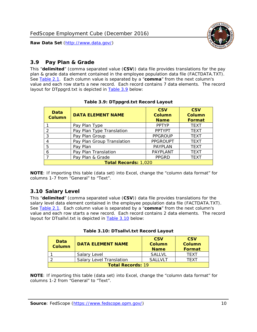

## <span id="page-10-0"></span>*3.9 Pay Plan & Grade*

<span id="page-10-4"></span>This "**delimited**" (comma separated value (**CSV**)) data file provides translations for the pay plan & grade data element contained in the employee population data file (FACTDATA.TXT). See [Table 2.1](#page-4-1). Each column value is separated by a "**comma**" from the next column's value and each row starts a new record. Each record contains 7 data elements. The record layout for DTppgrd.txt is depicted in **Table 3.9** below:

<span id="page-10-2"></span>

| Data<br><b>Column</b>       | <b>DATA ELEMENT NAME</b>   | <b>CSV</b><br>Column<br><b>Name</b> | <b>CSV</b><br>Column<br><b>Format</b> |  |
|-----------------------------|----------------------------|-------------------------------------|---------------------------------------|--|
|                             | Pay Plan Type              | <b>PPTYP</b>                        | <b>TEXT</b>                           |  |
| $\mathcal{P}$               | Pay Plan Type Translation  | <b>PPTYPT</b>                       | <b>TEXT</b>                           |  |
| 3                           | Pay Plan Group             | <b>PPGROUP</b>                      | <b>TEXT</b>                           |  |
|                             | Pay Plan Group Translation | <b>PPGROUPT</b>                     | <b>TEXT</b>                           |  |
| 5                           | Pay Plan                   | <b>PAYPLAN</b>                      | <b>TEXT</b>                           |  |
| 6                           | Pay Plan Translation       | PAYPLANT                            | <b>TEXT</b>                           |  |
|                             | Pay Plan & Grade           | <b>PPGRD</b>                        | <b>TEXT</b>                           |  |
| <b>Total Records: 1,020</b> |                            |                                     |                                       |  |

#### **Table 3.9: DTppgrd.txt Record Layout**

**NOTE**: If importing this table (data set) into Excel, change the "column data format" for columns 1-7 from "General" to "Text".

# <span id="page-10-1"></span>*3.10 Salary Level*

<span id="page-10-5"></span><span id="page-10-3"></span>This "**delimited**" (comma separated value (**CSV**)) data file provides translations for the salary level data element contained in the employee population data file (FACTDATA.TXT). See [Table 2.1](#page-4-1). Each column value is separated by a "**comma**" from the next column's value and each row starts a new record. Each record contains 2 data elements. The record layout for DTsallvl.txt is depicted in [Table 3.10](#page-10-5) below:

| <b>Data</b><br>Column    | <b>DATA ELEMENT NAME</b>        | <b>CSV</b><br>Column<br><b>Name</b> | <b>CSV</b><br>Column<br><b>Format</b> |
|--------------------------|---------------------------------|-------------------------------------|---------------------------------------|
|                          | Salary Level                    | <b>SALLVL</b>                       | TFXT                                  |
|                          | <b>Salary Level Translation</b> | SAI I VI T                          | TEXT                                  |
| <b>Total Records: 19</b> |                                 |                                     |                                       |

| Table 3.10: DTsallvl.txt Record Layout |  |
|----------------------------------------|--|
|----------------------------------------|--|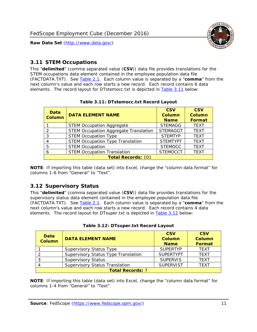

### <span id="page-11-0"></span>*3.11 STEM Occupations*

<span id="page-11-4"></span>This "**delimited**" (comma separated value (**CSV**)) data file provides translations for the STEM occupations data element contained in the employee population data file (FACTDATA.TXT). See [Table 2.1](#page-4-1). Each column value is separated by a "**comma**" from the next column's value and each row starts a new record. Each record contains 6 data elements. The record layout for DTstemocc.txt is depicted in [Table 3.11](#page-11-4) below:

<span id="page-11-2"></span>

| <b>Data</b><br><b>Column</b> | <b>DATA ELEMENT NAME</b>                     | <b>CSV</b><br><b>Column</b><br><b>Name</b> | <b>CSV</b><br><b>Column</b><br>Format |  |
|------------------------------|----------------------------------------------|--------------------------------------------|---------------------------------------|--|
|                              | <b>STEM Occupation Aggregate</b>             | <b>STEMAGG</b>                             | <b>TEXT</b>                           |  |
|                              | <b>STEM Occupation Aggregate Translation</b> | <b>STEMAGGT</b>                            | <b>TEXT</b>                           |  |
| 3                            | <b>STEM Occupation Type</b>                  | <b>STEMTYP</b>                             | <b>TFXT</b>                           |  |
|                              | <b>STEM Occupation Type Translation</b>      | <b>STEMTYPT</b>                            | <b>TEXT</b>                           |  |
| 5                            | <b>STEM Occupation</b>                       | <b>STEMOCC</b>                             | <b>TEXT</b>                           |  |
|                              | <b>STEM Occupation Translation</b>           | <b>STEMOCCT</b>                            | <b>TEXT</b>                           |  |
| <b>Total Records: 101</b>    |                                              |                                            |                                       |  |

#### **Table 3.11: DTstemocc.txt Record Layout**

**NOTE**: If importing this table (data set) into Excel, change the "column data format" for columns 1-6 from "General" to "Text".

# <span id="page-11-1"></span>*3.12 Supervisory Status*

This "**delimited**" (comma separated value (**CSV**)) data file provides translations for the supervisory status data element contained in the employee population data file (FACTDATA.TXT). See [Table 2.1](#page-4-1). Each column value is separated by a "**comma**" from the next column's value and each row starts a new record. Each record contains 4 data elements. The record layout for DTsuper.txt is depicted in [Table 3.12](#page-11-5) below:

<span id="page-11-5"></span><span id="page-11-3"></span>

| Data<br><b>Column</b>   | <b>DATA ELEMENT NAME</b>              | <b>CSV</b><br>Column<br><b>Name</b> | <b>CSV</b><br><b>Column</b><br>Format |  |
|-------------------------|---------------------------------------|-------------------------------------|---------------------------------------|--|
|                         | <b>Supervisory Status Type</b>        | <b>SUPFRTYP</b>                     | <b>TEXT</b>                           |  |
|                         | Supervisory Status Type Translation   | <b>SUPERTYPT</b>                    | <b>TEXT</b>                           |  |
|                         | <b>Supervisory Status</b>             | <b>SUPERVIS</b>                     | <b>TEXT</b>                           |  |
|                         | <b>Supervisory Status Translation</b> | <b>SUPERVIST</b>                    | <b>TEXT</b>                           |  |
| <b>Total Records: 7</b> |                                       |                                     |                                       |  |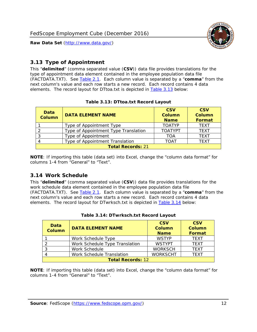

# <span id="page-12-0"></span>*3.13 Type of Appointment*

This "**delimited**" (comma separated value (**CSV**)) data file provides translations for the type of appointment data element contained in the employee population data file (FACTDATA.TXT). See [Table 2.1](#page-4-1). Each column value is separated by a "**comma**" from the next column's value and each row starts a new record. Each record contains 4 data elements. The record layout for DTtoa.txt is depicted in [Table 3.13](#page-12-4) below:

<span id="page-12-4"></span><span id="page-12-2"></span>

| Data<br><b>Column</b>    | <b>DATA ELEMENT NAME</b>             | <b>CSV</b><br><b>Column</b><br><b>Name</b> | <b>CSV</b><br><b>Column</b><br>Format |  |
|--------------------------|--------------------------------------|--------------------------------------------|---------------------------------------|--|
|                          | Type of Appointment Type             | <b>TOATYP</b>                              | <b>TEXT</b>                           |  |
|                          | Type of Appointment Type Translation | <b>TOATYPT</b>                             | <b>TEXT</b>                           |  |
|                          | Type of Appointment                  | TOA                                        | <b>TEXT</b>                           |  |
|                          | Type of Appointment Translation      | TOAT                                       | <b>TFXT</b>                           |  |
| <b>Total Records: 21</b> |                                      |                                            |                                       |  |

#### **Table 3.13: DTtoa.txt Record Layout**

**NOTE**: If importing this table (data set) into Excel, change the "column data format" for columns 1-4 from "General" to "Text".

#### <span id="page-12-1"></span>*3.14 Work Schedule*

<span id="page-12-5"></span>This "**delimited**" (comma separated value (**CSV**)) data file provides translations for the work schedule data element contained in the employee population data file (FACTDATA.TXT). See [Table 2.1](#page-4-1). Each column value is separated by a "**comma**" from the next column's value and each row starts a new record. Each record contains 4 data elements. The record layout for DTwrksch.txt is depicted in [Table 3.14](#page-12-5) below:

<span id="page-12-3"></span>

| Data<br>Column           | <b>DATA ELEMENT NAME</b>       | <b>CSV</b><br><b>Column</b><br><b>Name</b> | <b>CSV</b><br>Column<br>Format |  |
|--------------------------|--------------------------------|--------------------------------------------|--------------------------------|--|
|                          | Work Schedule Type             | <b>WSTYP</b>                               | <b>TEXT</b>                    |  |
| 2                        | Work Schedule Type Translation | <b>WSTYPT</b>                              | <b>TFXT</b>                    |  |
| 3                        | Work Schedule                  | <b>WORKSCH</b>                             | <b>TFXT</b>                    |  |
|                          | Work Schedule Translation      | <b>WORKSCHT</b>                            | <b>TFXT</b>                    |  |
| <b>Total Records: 12</b> |                                |                                            |                                |  |

|  | Table 3.14: DTwrksch.txt Record Layout |  |
|--|----------------------------------------|--|
|  |                                        |  |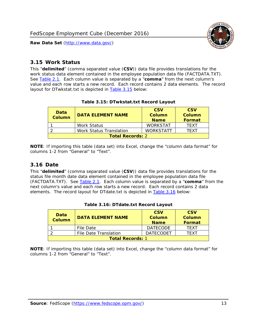

#### <span id="page-13-0"></span>*3.15 Work Status*

<span id="page-13-4"></span><span id="page-13-2"></span>This "**delimited**" (comma separated value (**CSV**)) data file provides translations for the work status data element contained in the employee population data file (FACTDATA.TXT). See [Table 2.1](#page-4-1). Each column value is separated by a "**comma**" from the next column's value and each row starts a new record. Each record contains 2 data elements. The record layout for DTwkstat.txt is depicted in [Table 3.15](#page-13-4) below:

| Data<br><b>Column</b>   | <b>DATA ELEMENT NAME</b>       | <b>CSV</b><br>Column<br><b>Name</b> | <b>CSV</b><br>Column<br><b>Format</b> |
|-------------------------|--------------------------------|-------------------------------------|---------------------------------------|
|                         | <b>Work Status</b>             | <b>WORKSTAT</b>                     | TFXT                                  |
|                         | <b>Work Status Translation</b> | <b>WORKSTATT</b>                    | TFXT                                  |
| <b>Total Records: 2</b> |                                |                                     |                                       |

#### **Table 3.15: DTwkstat.txt Record Layout**

**NOTE**: If importing this table (data set) into Excel, change the "column data format" for columns 1-2 from "General" to "Text".

#### <span id="page-13-1"></span>*3.16 Date*

<span id="page-13-5"></span><span id="page-13-3"></span>This "**delimited**" (comma separated value (**CSV**)) data file provides translations for the status file month date data element contained in the employee population data file (FACTDATA.TXT). See [Table 2.1](#page-4-1). Each column value is separated by a "**comma**" from the next column's value and each row starts a new record. Each record contains 2 data elements. The record layout for DTdate.txt is depicted in [Table 3.16](#page-13-5) below:

| Data<br><b>Column</b>   | <b>DATA ELEMENT NAME</b> | <b>CSV</b><br>Column<br><b>Name</b> | <b>CSV</b><br>Column<br><b>Format</b> |
|-------------------------|--------------------------|-------------------------------------|---------------------------------------|
|                         | File Date                | <b>DATECODE</b>                     | TFXT                                  |
|                         | File Date Translation    | <b>DATECODET</b>                    | TFXT                                  |
| <b>Total Records: 1</b> |                          |                                     |                                       |

**Table 3.16: DTdate.txt Record Layout**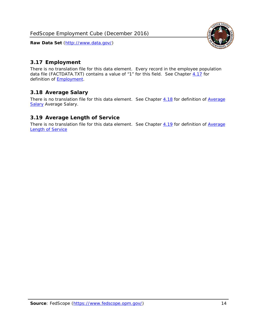

# <span id="page-14-0"></span>*3.17 Employment*

There is no translation file for this data element. Every record in the employee population data file (FACTDATA.TXT) contains a value of "1" for this field. See Chapter [4.17](#page-16-8) for definition of **Employment**.

## <span id="page-14-1"></span>*3.18 Average Salary*

There is no translation file for this data element. See Chapter [4.18](#page-17-1) for definition of [Average](#page-17-1) **[Salary](#page-17-1) [Average Salary.](#page-17-1)** 

## <span id="page-14-2"></span>*3.19 Average Length of Service*

There is no translation file for this data element. See Chapter [4.19](#page-17-2) for definition of [Average](#page-17-2) Length of Service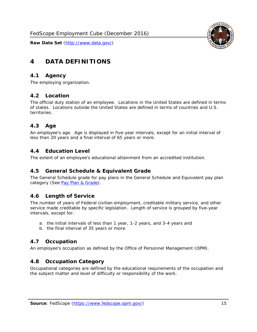

# <span id="page-15-0"></span>**4 DATA DEFINITIONS**

#### <span id="page-15-1"></span>*4.1 Agency*

The employing organization.

#### <span id="page-15-2"></span>*4.2 Location*

The official duty station of an employee. Locations in the United States are defined in terms of states. Locations outside the United States are defined in terms of countries and U.S. territories.

#### <span id="page-15-3"></span>*4.3 Age*

An employee's age. Age is displayed in five-year intervals, except for an initial interval of less than 20 years and a final interval of 65 years or more.

#### <span id="page-15-4"></span>*4.4 Education Level*

The extent of an employee's educational attainment from an accredited institution.

#### <span id="page-15-5"></span>*4.5 General Schedule & Equivalent Grade*

The General Schedule grade for pay plans in the General Schedule and Equivalent pay plan category (See [Pay Plan & Grade](#page-16-0)).

#### <span id="page-15-6"></span>*4.6 Length of Service*

The number of years of Federal civilian employment, creditable military service, and other service made creditable by specific legislation. Length of service is grouped by five-year intervals, except for:

- a. the initial intervals of less than 1 year, 1-2 years, and 3-4 years and
- b. the final interval of 35 years or more.

#### <span id="page-15-7"></span>*4.7 Occupation*

An employee's occupation as defined by the Office of Personnel Management (OPM).

#### <span id="page-15-8"></span>*4.8 Occupation Category*

Occupational categories are defined by the educational requirements of the occupation and the subject matter and level of difficulty or responsibility of the work.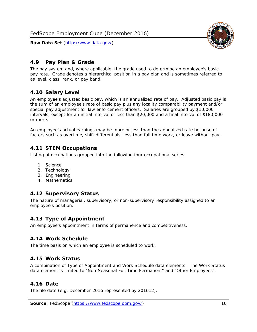<span id="page-16-0"></span>

The pay system and, where applicable, the grade used to determine an employee's basic pay rate. Grade denotes a hierarchical position in a pay plan and is sometimes referred to as level, class, rank, or pay band.

# <span id="page-16-1"></span>*4.10 Salary Level*

An employee's adjusted basic pay, which is an annualized rate of pay. Adjusted basic pay is the sum of an employee's rate of basic pay plus any locality comparability payment and/or special pay adjustment for law enforcement officers. Salaries are grouped by \$10,000 intervals, except for an initial interval of less than \$20,000 and a final interval of \$180,000 or more.

An employee's actual earnings may be more or less than the annualized rate because of factors such as overtime, shift differentials, less than full time work, or leave without pay.

# <span id="page-16-2"></span>*4.11 STEM Occupations*

Listing of occupations grouped into the following four occupational series:

- 1. **S**cience
- 2. **T**echnology
- 3. **E**ngineering
- 4. **M**athematics

#### <span id="page-16-3"></span>*4.12 Supervisory Status*

The nature of managerial, supervisory, or non-supervisory responsibility assigned to an employee's position.

#### <span id="page-16-4"></span>*4.13 Type of Appointment*

An employee's appointment in terms of permanence and competitiveness.

#### <span id="page-16-5"></span>*4.14 Work Schedule*

The time basis on which an employee is scheduled to work.

#### <span id="page-16-6"></span>*4.15 Work Status*

A combination of Type of Appointment and Work Schedule data elements. The Work Status data element is limited to "Non-Seasonal Full Time Permanent" and "Other Employees".

#### <span id="page-16-7"></span>*4.16 Date*

<span id="page-16-8"></span>The file date (e.g. December 2016 represented by 201612).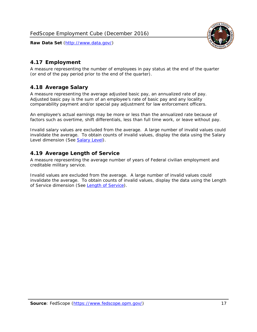

# <span id="page-17-0"></span>*4.17 Employment*

A measure representing the number of employees in pay status at the end of the quarter (or end of the pay period prior to the end of the quarter).

# <span id="page-17-1"></span>*4.18 Average Salary*

A measure representing the average adjusted basic pay, an annualized rate of pay. Adjusted basic pay is the sum of an employee's rate of basic pay and any locality comparability payment and/or special pay adjustment for law enforcement officers.

An employee's actual earnings may be more or less than the annualized rate because of factors such as overtime, shift differentials, less than full time work, or leave without pay.

Invalid salary values are excluded from the average. A large number of invalid values could invalidate the average. To obtain counts of invalid values, display the data using the Salary Level dimension (See [Salary Level\)](#page-16-1).

# <span id="page-17-2"></span>*4.19 Average Length of Service*

A measure representing the average number of years of Federal civilian employment and creditable military service.

Invalid values are excluded from the average. A large number of invalid values could invalidate the average. To obtain counts of invalid values, display the data using the Length of Service dimension (See [Length of Service](#page-15-6)).